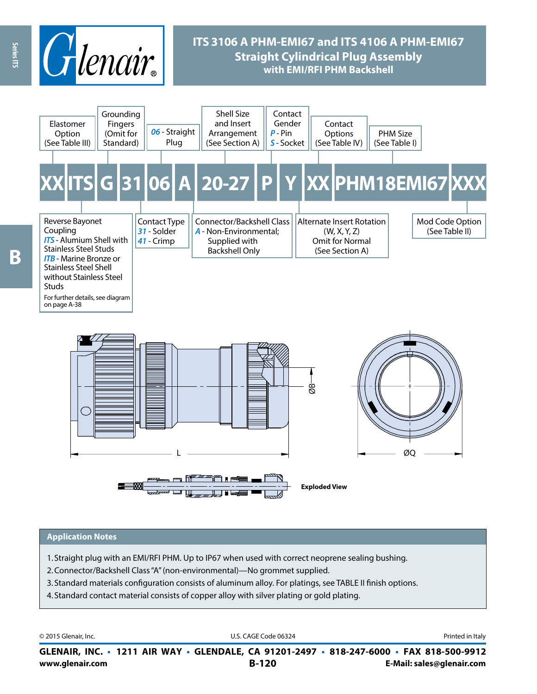

# **ITS 3106 A PHM-EMI67 and ITS 4106 A PHM-EMI67 Straight Cylindrical Plug Assembly with EMI/RFI PHM Backshell**



#### **Application Notes**

- 1. Straight plug with an EMI/RFI PHM. Up to IP67 when used with correct neoprene sealing bushing.
- 2.Connector/Backshell Class "A" (non-environmental)—No grommet supplied.
- 3. Standard materials configuration consists of aluminum alloy. For platings, see TABLE II finish options.
- 4. Standard contact material consists of copper alloy with silver plating or gold plating.

© 2015 Glenair, Inc. **Discription Construction Construction Construction Construction Construction Construction Construction Construction Construction Construction Construction Construction Construction Construction Constr** 

**www.glenair.com B-120 E-Mail: sales@glenair.com GLENAIR, INC. • 1211 AIR WAY • GLENDALE, CA 91201-2497 • 818-247-6000 • FAX 818-500-9912**